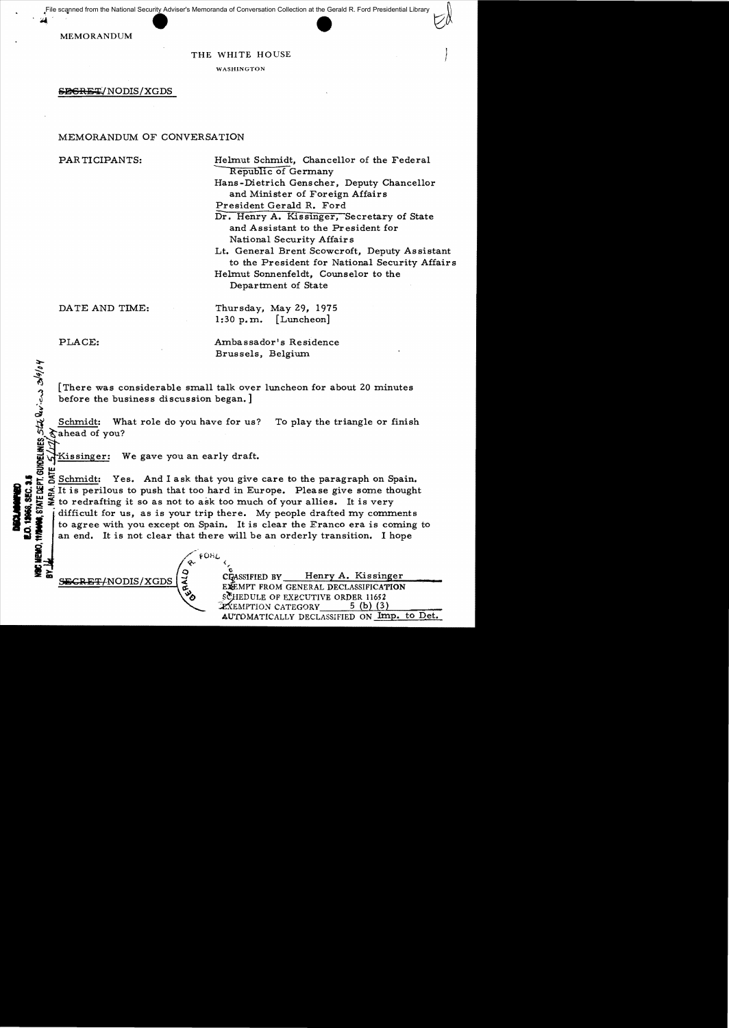File scanned from the National Security Adviser's Memoranda of Conversation Collection at the Gerald R. Ford Presidential Library

MEMORANDUM

#### THE WHITE HOUSE

WASHINGTON

SEGRET/NODIS/XGDS

#### MEMORANDUM OF CONVERSATION

PARTICIPANTS: Helmut Schmidt, Chancellor of the Federal Republic of Germany

! *1* 

Hans-Dietrich Genscher, Deputy Chancellor and Minister of Foreign Affairs

President Gerald R. Ford

Dr. Henry A. Kissinger, Secretary of State and Assistant to the President for National Security Affairs

Lt. General Brent Scowcroft, Deputy Assistant to the President for National Security Affairs

Helmut Sonnenfeldt, Counselor to the Department of State

DATE AND TIME:

Thursday, May 29, 1975 1:30 p.m. [Luncheon]

PLACE:

 $A$ <u>ক</u>ৈ  $Q$  $\mathfrak{Z}$  $\mathbf{Q}$ 

**COMMUNICATION** 

Ambassador's Residence Brussels, Belgium

[There was considerable small talk over luncheon for about 20 minutes before the business discussion began.]

Schmidt: What role do you have for us? To play the triangle or finish

5 Sahead of you? Kissinger: We gave you an early draft.

Schmidt: Yes. And I ask that you give care to the paragraph on Spain. It is perilous to push that too hard in Europe. Please give some thought<br>to redrafting it so as not to ask too much of your allies. It is very<br>difficult for us, as is your trip there. My people drafted my comments to agree with you except on Spain. It is clear the Franco era is coming to an end. It is not clear that there will be an orderly transition. I hope

 $\phi$  (

SECRET/NODIS/XGDS

 $\frac{1}{\sqrt{2}}$ 

CLASSIFIED BY Henry A. Kissinger EXEMPT FROM GENERAL DECLASSIFICATION SCHEDULE OF EXECUTIVE ORDER 11652  $\mathbb{Z}$ XEMPTION CATEGORY 5 (b) (3) AUTOMATICALLY DECLASSIFIED ON Imp. to Det.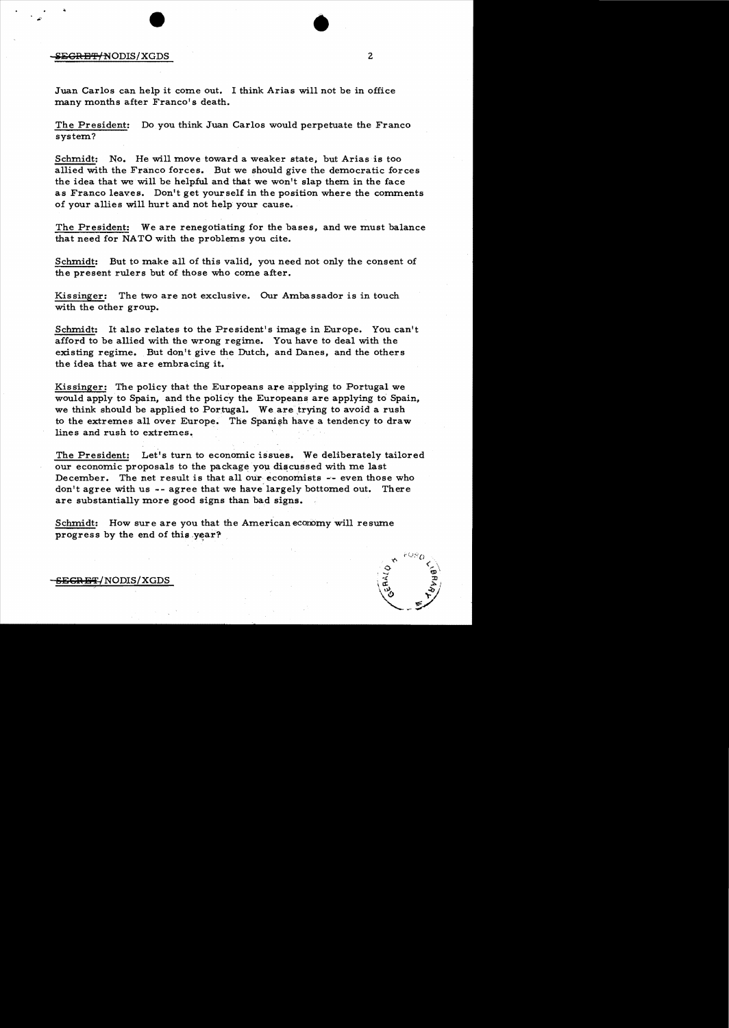#### **including the CREET/NODIS/XGDS** 2

Juan Carlos can help it corne out. I think Arias will not be in office many months after Franco's death.

The President: Do you think Juan Carlos would perpetuate the Franco system?

•

Schmidt: No. He will move toward a weaker state, but Arias is too allied with the Franco forces. But we should give the democratic forces the idea that we will be helpful and that we won't slap them in the face as Franco leaves. Don't get yourself in the position where the comments of your allies will hurt and not help your cause.

The President: We are renegotiating for the bases, and we must balance that need for NATO with the problems you cite.

Schmidt: But to make all of this valid, you need not only the consent of the present rulers but of those who come after.

Kissinger: The two are not exclusive. Our Ambassador is in touch with the other group.

Schmidt: It also relates to the President's image in Europe. You can't afford to be allied with the wrong regime. You have to deal with the existing regime. But don't give the Dutch, and Danes, and the others the idea that we are embracing it.

Kissinger: The policy that the Europeans are applying to Portugal we would apply to Spain, and the policy the Europeans are applying to Spain, we think should be applied to Portugal. We are trying to avoid a rush to the extremes all over Europe. The Spanish have a tendency to draw lines and rush to extremes.

The President: Let's turn to economic issues. We deliberately tailored our economic proposals to the package you discussed with me last December. The net result is that all our economists -- even those who don't agree with us -- agree that we have largely bottomed out. There are substantially more good signs than bad signs.

Schmidt: How sure are you that the American economy will resume progress by the end of this year?



<del>SECRET</del>/NODIS/XGDS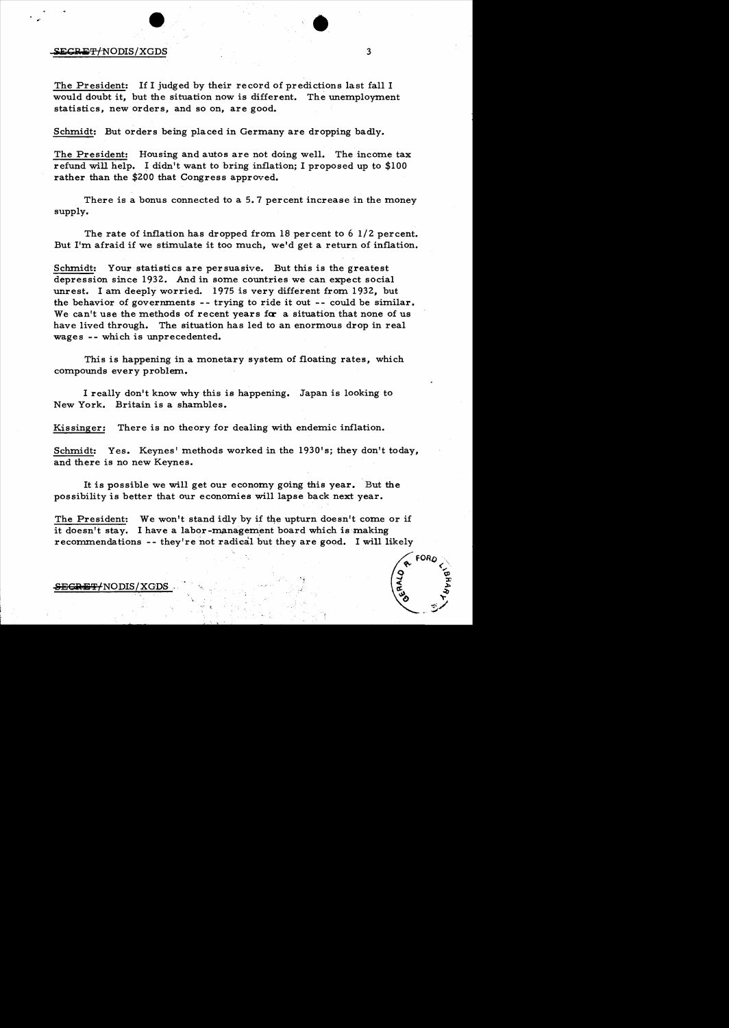#### $\frac{1}{3}$

The President: If I judged by their record of predictions last fall I would doubt it, but the situation now is different. The unemployment statistics, new orders, and so on, are good.

Schmidt: But orders being placed in Germany are dropping badly.

The President: Housing and autos are not doing well. The income tax refund will help. I didn't want to bring inflation; I proposed up to \$100 rather than the \$200 that Congress approved.

There is a bonus connected to a 5.7 percent increase in the money supply.

The rate of inflation has dropped from 18 percent to 6  $1/2$  percent. But I'm afraid if we stimulate it too much, we'd get a return of inflation.

Schmidt: Your statistics are persuasive. But this is the greatest depression since 1932. And in some countries we can expect social unrest. I am deeply worried. 1975 is very different from 1932, but the behavior of governments  $-$ - trying to ride it out  $-$ - could be similar. We can't use the methods of recent years for a situation that none of us have lived through. The situation has led to an enormous drop in real wages -- which is unprecedented.

This is happening in a monetary system of floating rates, which compounds every problem.

I really don't know why this is happening. Japan is looking to New York. Britain is a shambles.

Kissinger: There is no theory for dealing with endemic inflation.

Schmidt: Yes. Keynes' methods worked in the 1930's; they don't today, and there is no new Keynes.

It is possible we will get our economy going this year. But the possibility is better that our economies will lapse back next year.

The President: We won't stand idly by if the upturn doesn't come or if it doesn't stay. I have a labor-management board which is making recommendations -- they're not radical but they are good. I will likely

.,' t



SEGRET/NODIS/XGDS

•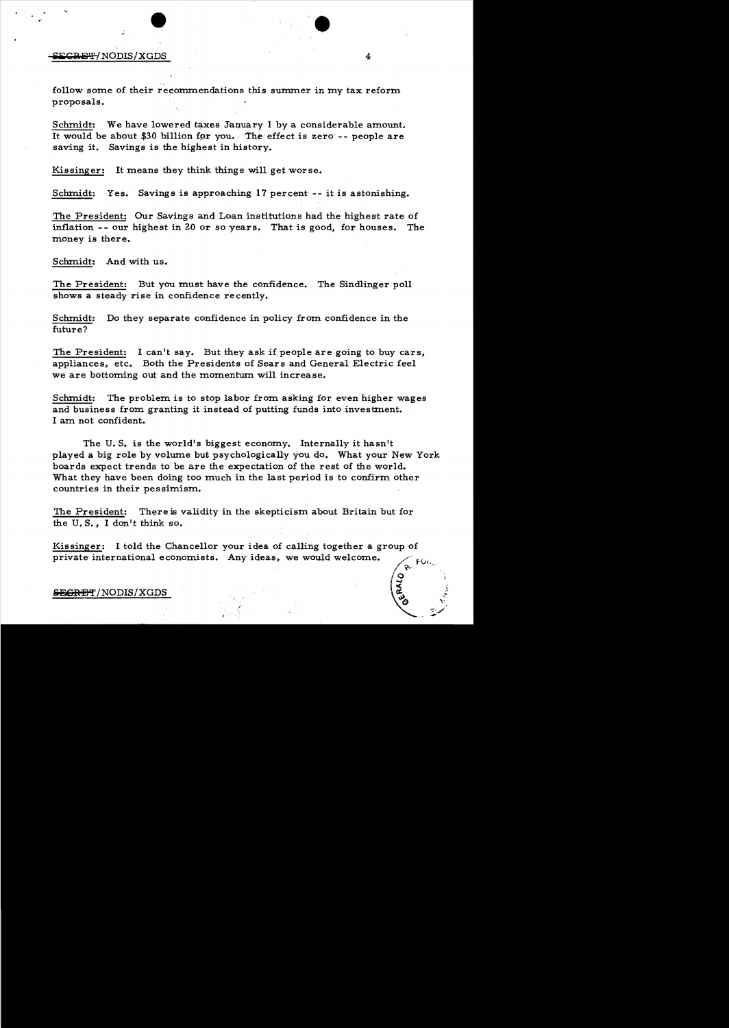## EXPERT NODIS / XGDS iliiC:aE'P1 NODIS!XGDS 4

follow some of their recommendations this summer in my tax reform proposals.

Schmidt: We have lowered taxes January 1 by a considerable amount. It would be about \$30 billion for you. The effect is zero  $-$ - people are saving it. Savings is the highest in history.

Kissinger: It means they think things will get worse.

Schmidt: Yes. Savings is approaching 17 percent -- it is astonishing.

The President: Our Savings and Loan institutions had the highest rate of inflation -- our highest in 20 or so years. That is good, for houses. The money is there.

Schmidt: And with us.

The President: But you must have the confidence. The Sindlinger poll shows a steady rise in confidence recently.

Schmidt: Do they separate confidence in policy from confidence in the future?

The President: I can't say. But they ask if people are going to buy cars, appliances, etc. Both the Presidents of Sear s and General Electric feel we are bottoming out and the momentum will increase.

Schmidt: The problem is to stop labor from asking for even higher wages and business from granting it instead of putting funds into investment. I am not confident.

The U. S. is the world's biggest economy. Internally it hasn't played a big role by volume but psychologically you do. What your New York boards expect trends to be are the expectation of the rest of the world. What they have been doing too much in the last period is to confirm other countries in their pessimism.

The President: There is validity in the skepticism about Britain but for the U. S., I don't think so.

Kissinger: I told the Chancellor your idea of calling together a group of private international economists. Any ideas, we would welcome. - FOF

#### $SECHET/NODIS/XGDS$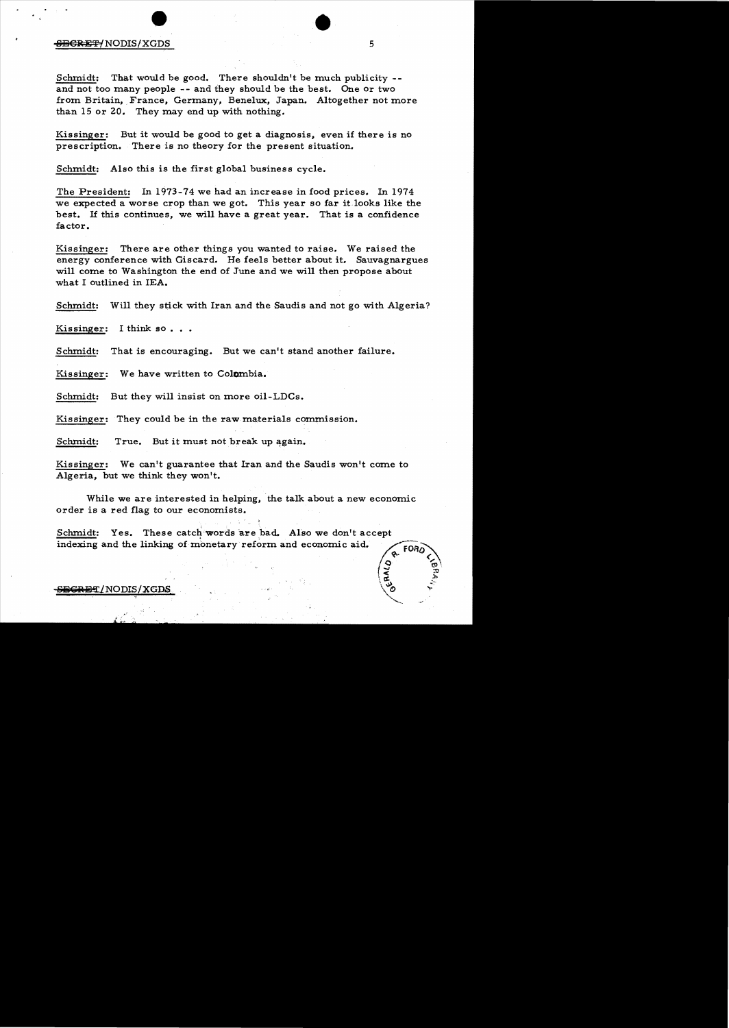#### <del>SECRET/</del>NODIS/XGDS

Schmidt: That would be good. There shouldn't be much publicity  $-$ and not too many people -- and they should be the best. One or two from Britain, France, Germany, Benelux, Japan. Altogether not more than 15 or 20. They may end up with nothing.

Kissinger: But it would be good to get a diagnosis, even if there is no prescription. There is no theory for the present situation.

Schmidt: Also this is the first global business cycle.

The President: In 1973-74 we had an increase in food prices. In 1974 we expected a worse crop than we got. This year so far it looks like the best. If this continues, we will have a great year. That is a confidence factor.

Kissinger: There are other things you wanted to raise. We raised the energy conference with Giscard. He feels better about it. Sauvagnargues will come to Washington the end of June and we will then propose about what I outlined in lEA.

Schmidt: Will they stick with Iran and the Saudis and not go with Algeria?

Kissinger: I think so...

Schmidt: That is encouraging. But we can't stand another failure.

Kissinger: We have written to Colombia.

Schmidt: But they will insist on more oil-LDCs.

Kissinger: They could be in the raw materials commission.

Schmidt: True. But it must not break up again.

Kissinger: We can't guarantee that Iran and the Saudis won't come to Algeria, but we think they won't.

While we are interested in helping, the talk about a new economic order is a red flag to our economists.

Schmidt: Yes. These catch words are bad. Also we don't accept indexing and the linking of monetary reform and economic aid.

SBCRET/NODIS/XGDS

 $\sqrt{9}$  .  $\sqrt{9}$ < ::!l  $\sqrt{2}$  .

 $\circ$   $\rightarrow$ 

 $\checkmark$ ~

'.',.

?:

•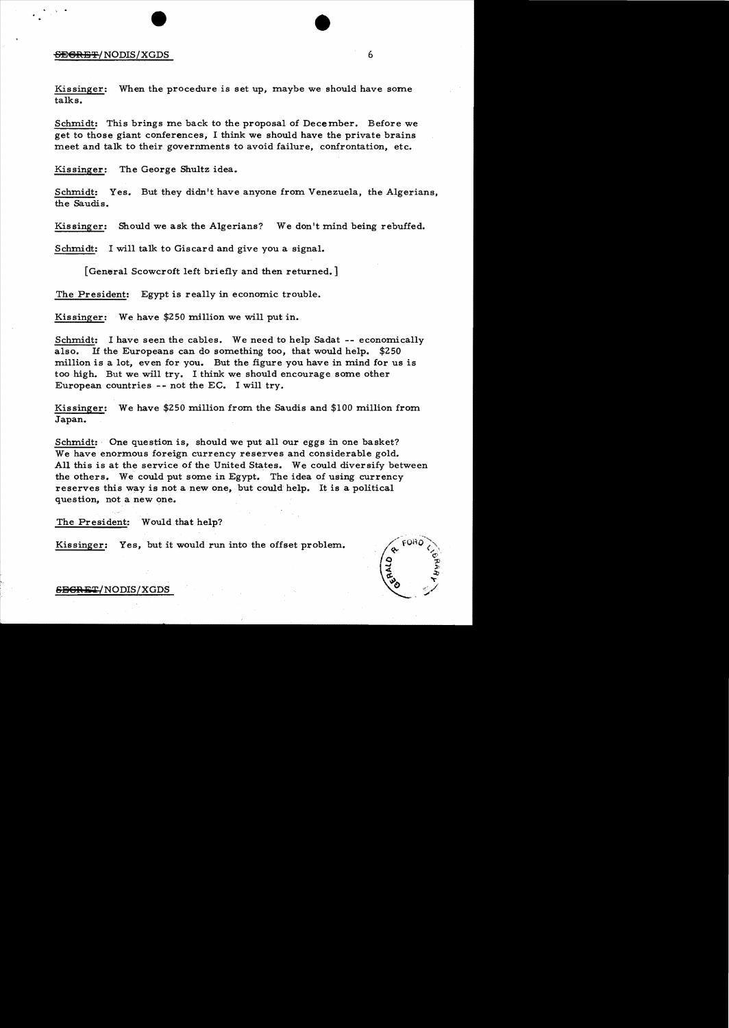# erican and the set of the set of the set of the set of the set of the set of the set of the set of the set of the set of the set of the set of the set of the set of the set of the set of the set of the set of the set of th

 $\mathbf{v} = \sqrt{2\pi} \mathbf{e}^{-\frac{1}{2}}$ 

Kissinger: When the procedure is set up, maybe we should have some talks.

Schmidt: This brings me back to the proposal of December. Before we get to those giant conferences, I think we should have the private brains meet and talk to their governments to avoid failure, confrontation, etc.

Kissinger: The George Shultz idea.

Schmidt: Yes. But they didn't have anyone from Venezuela, the Algerians, the Saudis.

Kissinger: Should we ask the Algerians? We don't mind being rebuffed.

Schmidt: I will talk to Giscard and give you a signal.

[General Scowcroft left briefly and then returned.]

The President: Egypt is really in economic trouble.

Kissinger: We have \$250 million we will put in.

Schmidt: I have seen the cables. We need to help Sadat -- economically also. If the Europeans can do something too, that would help. \$250 million is a lot, even for you. But the figure you have in mind for us is too high. But we will try. I think we should encourage some other European countries -- not the EC. I will try.

Kissinger: We have \$250 million from the Saudis and \$100 million from Japan.

Schmidt: One question is, should we put all our eggs in one basket? We have enormous foreign currency reserves and considerable gold. All this is at the service of the United States. We could diversify between the others. We could put some in Egypt. The idea of using currency reserves this way is not a new one, but could help. It is a political question, not a new one.

The President: Would that help?

Kissinger: Yes, but it would run into the offset problem.



 $S$ EGRET/NODIS/XGDS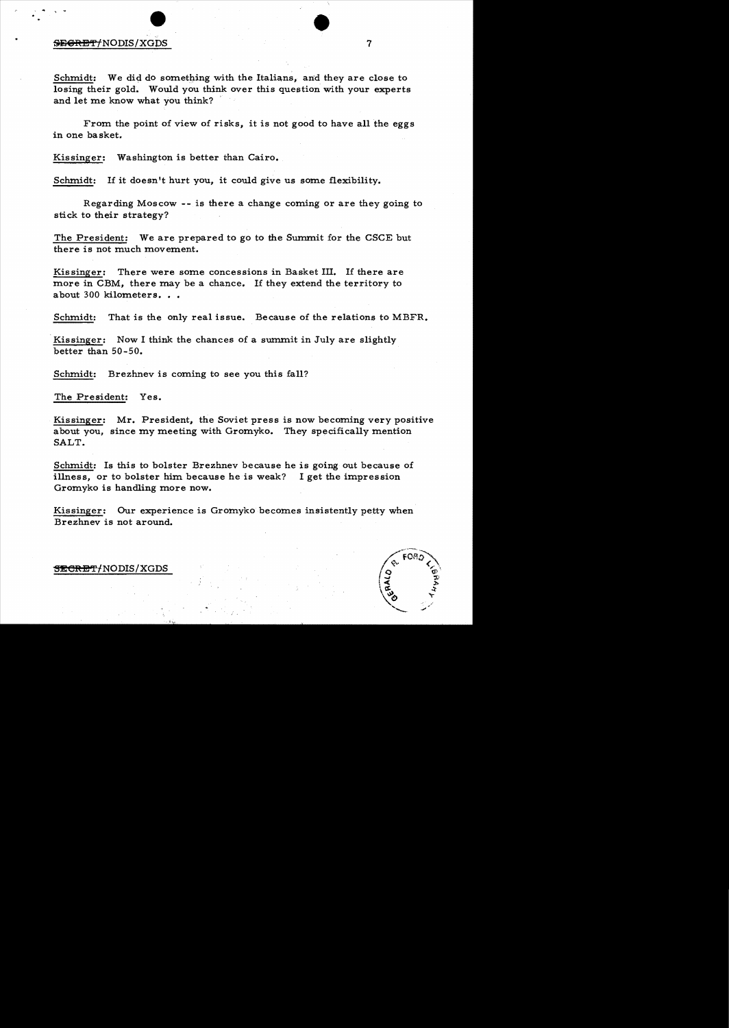#### SEGRET/NODIS/XGDS

Schmidt: We did do something with the Italians, and they are close to losing their gold. Would you think over this question with your experts and let me know what you think?

•

7

From the point of view of risks, it is not good to have all the eggs in one basket.

Kissinger: Washington is better than Cairo.

Schmidt: If it doesn't hurt you, it could give us some flexibility.

Regarding Moscow -- is there a change coming or are they going to stick to their strategy?

The President: We are prepared to go to the Summit for the CSCE but there is not much movement.

Kissinger: There were some concessions in Basket III. If there are more in CBM, there may be a chance. If they extend the territory to about 300 kilometers...

Schmidt: That is the only real issue. Because of the relations to MBFR.

Kissinger: Now I think the chances of a summit in July are slightly better than 50-50.

Schmidt: Brezhnev is coming to see you this fall?

The President: Yes.

Kissinger: Mr. President, the Soviet press is now becoming very positive about you, since my meeting with Gromyko. They specifically mention SALT.

Schmidt: Is this to bolster Brezhnev because he is going out because of illness, or to bolster him because he is weak? I get the impression Gromyko is handling more now.

Kissinger: Our experience is Gromyko becomes insistently petty when Brezhnev is not around.



#### SECRET/NODIS/XGDS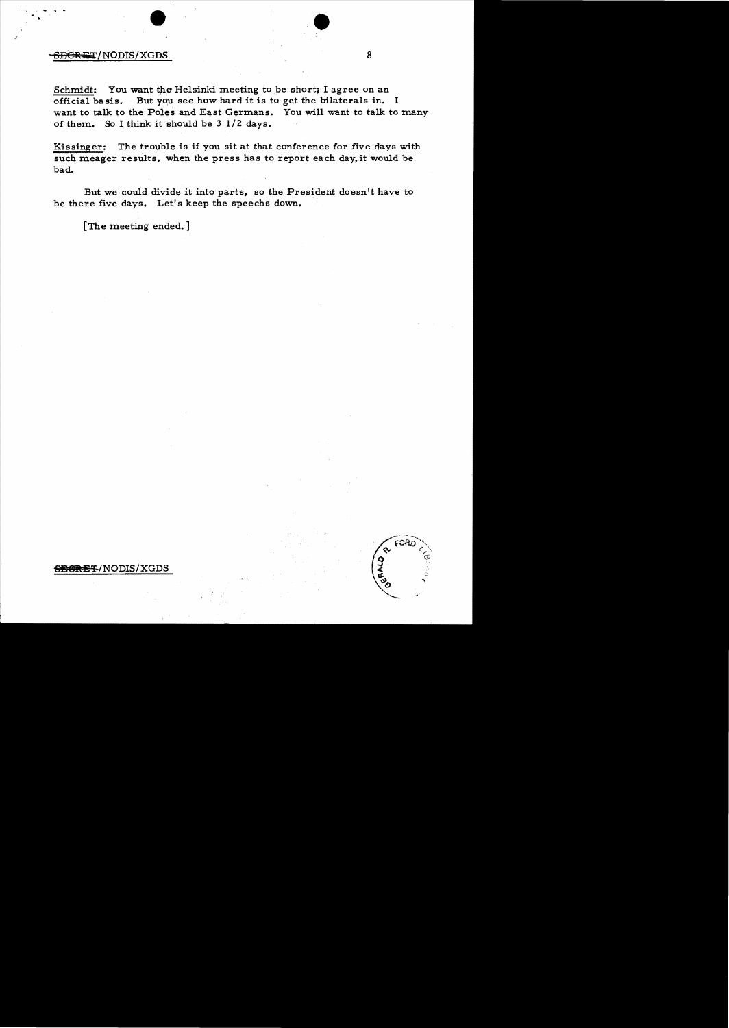# $\bullet$  $-$ ener $\pm$ T/NODIS/XGDS 8

Schmidt: You want the Helsinki meeting to be short; I agree on an official basis. But you see how hard it is to get the bilaterals in. I want to talk to the Poles and East Germans. You will want to talk to many of them. So I think it should be 3 *1/2* days.

Kissinger: The trouble is if you sit at that conference for five days with such meager results, when the press has to report each day, it would be bad.

But we could divide it into parts, so the President doesn't have to be there five days. Let's keep the speechs down.

[The meeting ended.]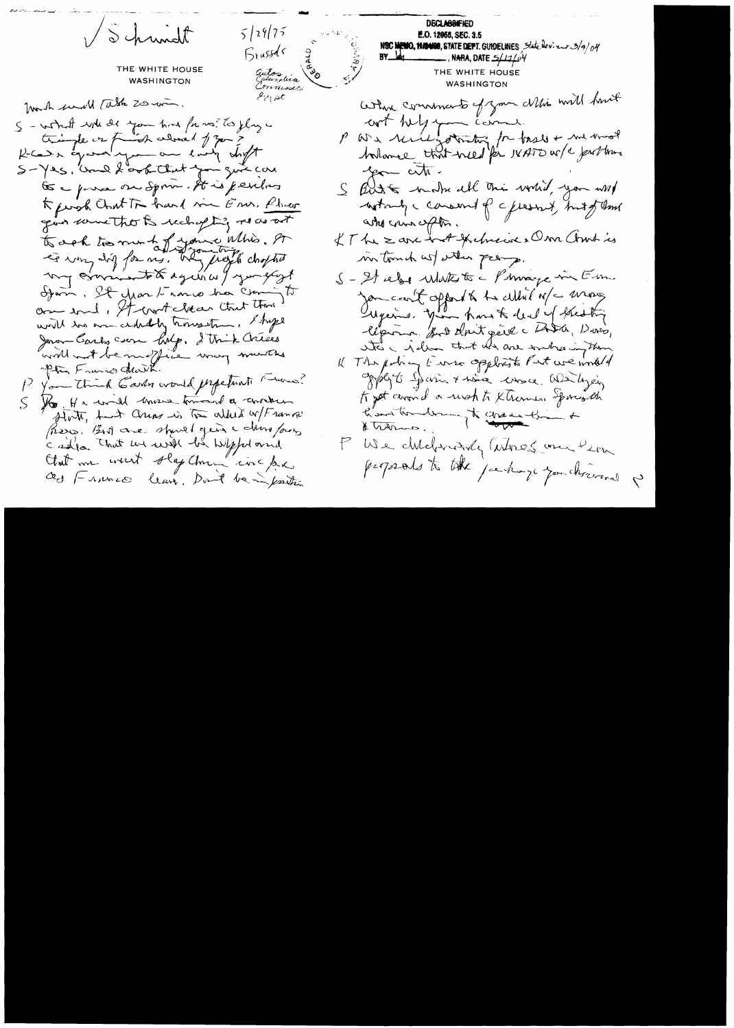VSchwidt  $5/29/75$ **Brussds** THE WHITE HOUSE Galos dia **WASHINGTON**  $e_{i' \uparrow}$  at formulh send table 20 mon. S - won't will did you had for us? To ylay in tringle or frish adon't of you ?  $S-12s$ , and fortitat for give car Go - porce on Sprin. It is jendres Kernsh Cont Tr hard me En. Phoer gives somethouts recording resourced to cel to me to jour Whis. A my considerate again a y you glost Ifam, It year trance has coming to are soul, It wort close that there will too an cidedly houseton, I hope Jeron Carly com holp. I trick Crises availle not beauchfile unag munitie P You think Garden would perpetuate runner? S lo He will move toward a constru flot, had ann in the aller of Frank (Resp. But are should get a dans four called that we will be Wept and that me went stap them inclue as 1- nunco leave. Don't be imposition

**DECLASSIFIED E.O. 12958, SEC. 3.5** NSC MEMO, **HAMOS**, STATE DEPT. GUIDELINES State dev. euros/9/04<br>BY THE WHITE HOUSE **WASHINGTON** Where commands of your Mis will have cont tutz comme comment you art. S Bust mother all the world, you will who can often. IT he & are int thelmewice Don Chart is intomich ust wither promp. S-21 el 1 Matt to - Phoneye in Em. Jon court apport to the cultural of a mong Superint, Jim home to deal of blesting lipona for that get a LADA, Duns, Ste a pollo that who are endreamy than Il The policy to me oppliest Part we wild 4 opply to Jerrin + have loss ce Windycing to get cevand a risch to Khamson Sporter the how the way to change the a P We diddriving intrest on Pern perpeals to take perhaps you chromal p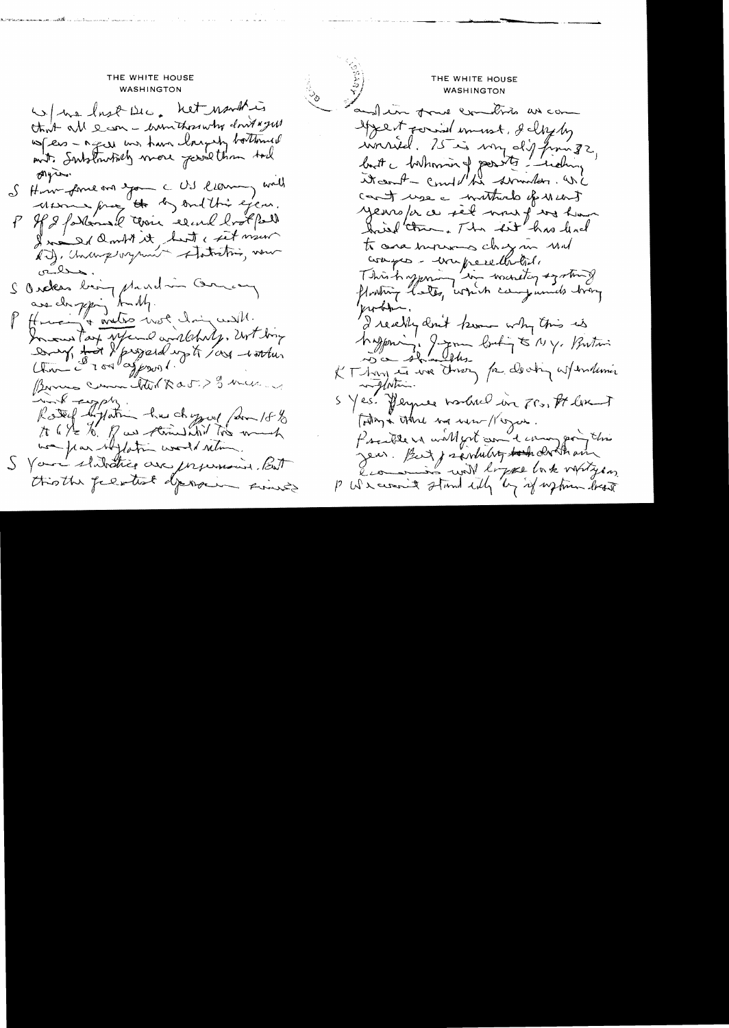THE WHITE HOUSE THE WHITE HOUSE THE WHITE HOUSE WASHINGTON **WASHINGTON** W/ ma lost Dec. not northing and in four commitmes as com that all earn - winthought don't yes Agent formal imment, & cloying where - a great was have longerly bottomed innréel. 25 is von dis finage wit. Substructively were just than tall Algress. it can't - cont the served on i S Hum-forme on you a US leaving wall can't use a mutture of weart using free to by ond this eye. years/or a set mour f was have P If I forternal cervic record bookfall hired them, The lest has level Ino Id ambit it but cret nous to cara inversions chez mi und compres- ever preselhobile ailes. This happening in wardtog again 8 I Orders being played in One and are chapping truth. problem. P Human & meters mot clair with. I really don't know why this is In our Tay sycand and chily, Ert boy Mayon de James boutin 5 My, Butani Dry tot & project up to long worthin KT han et une tres pa de chin assemblanis An contrato de la 1 Bornes Comme tothe Rat ? I have S Yes. Perpree worked in Frs. It like with empty. Roted lighting has chapped form 18% Forting a there was were / region. to 6 the to. of us standard too much President will got come terming point this was flax whytation would retime. Jean Bat j'aimlutez tout des la man I Your shitatics are presented. But this the feestest deposit since P We crown a stand with by if up time best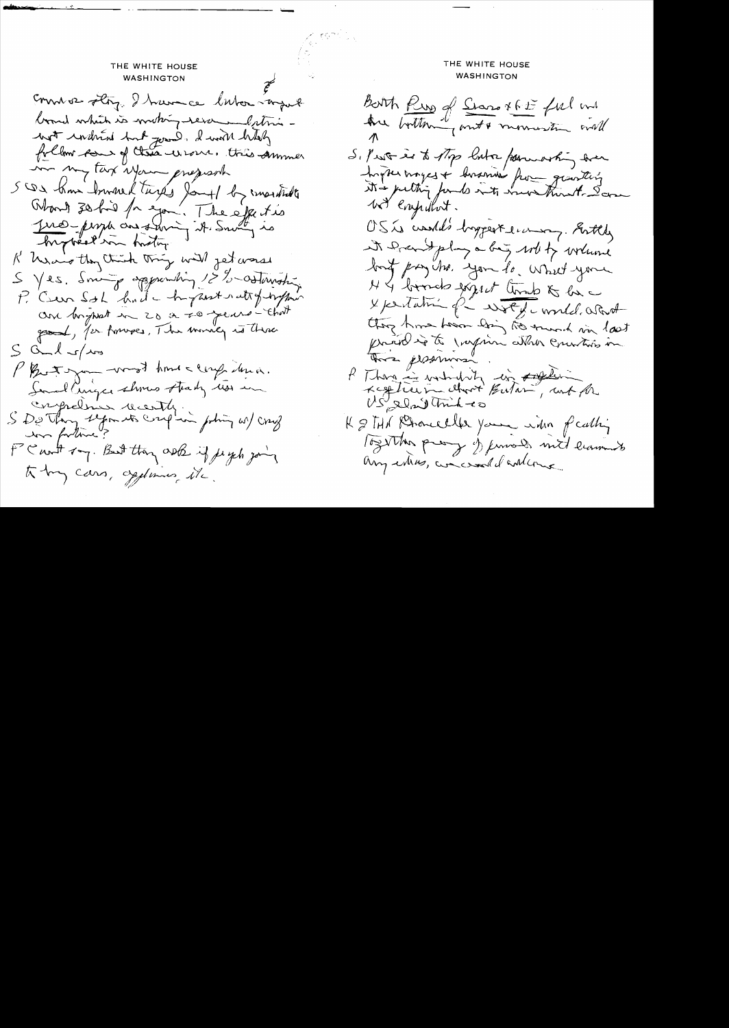THE WHITE HOUSE WASHINGTON comme 2 story. I have ce labor import board which is writing rever and their with undivid but good. I will half follow some of these wines. this semmer my tax your prejust 500 km travel tures Jours la constitute Word 30 his for you. The effecties Jue pour constant d'Indy is hytreal in history. R have they think thing will jet worse S Yes. Soming appointing 12%-orthwater P. Ceur Sol had hypertratty hypon and bright in 20 a 20 years - that good, for forwars, The money is three  $S$  and  $r/m$ Photogram word home ceref den a. Sand Cinque shows thaty was in S De Thomps le cent qui poting as/ cray was fortime? FC with ray. But they ask if just you to by cars, opponing the

### **WASHINGTON** Both Rup of Stars XGE ful mi are bottoming out & mornisting orall Si Prost is to stop butter parmoting some Ingter moyes & bosonies from granting We Enjuliet. OSI would's hyperterning. Bottly it family a big with to writing but pay the you to what you N & bords expect that & la I personné de vit de model. a Part they have hear dring the munch via last There pessimone P Than in watching in soften  $US'_{\text{ref}}$  and think to K & THA Rhomeller your with fielding Together prog of finness mit learness any way, we would calling

THE WHITE HOUSE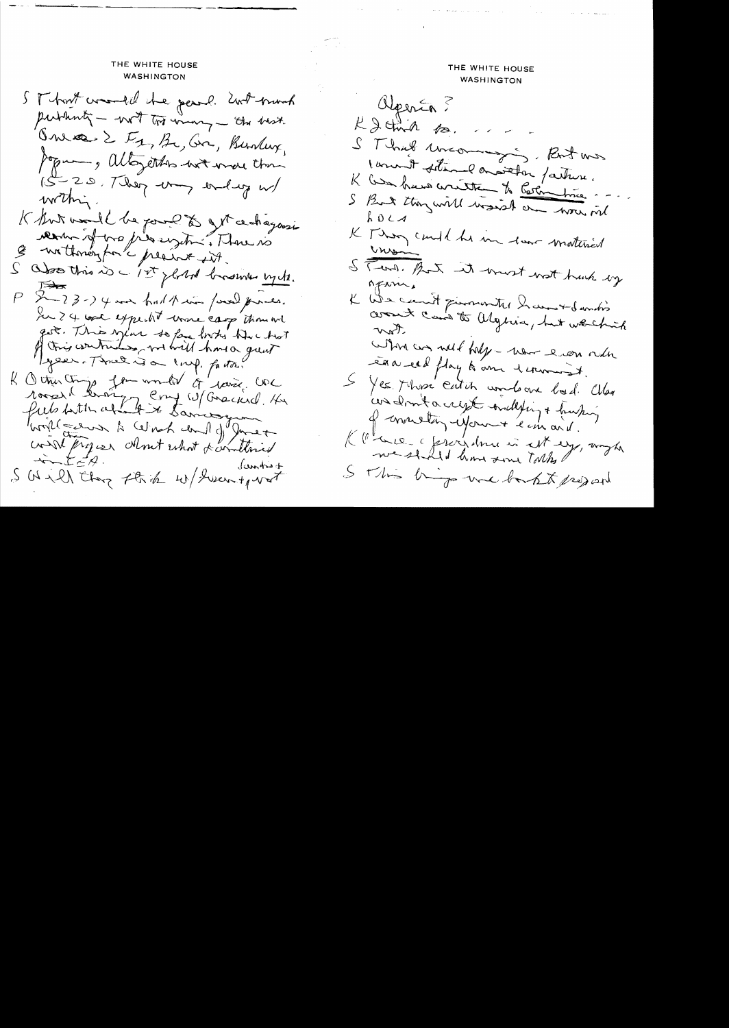#### THE WHITE HOUSE **WASHINGTON**

ST host consult the pearl. With broad published - with the wing - the best. Onese 2 Fg, Bc, Gr, Bunday, Jegur, altogethos with were than 15-20, They want and w within. K But und l'be pour les get ce chagonsi revenir et most is eiget ? Those no S about this is - 1st glored brown up to. P & 23-14 me baltain paul preces. In 24 was expected wome carp thought got. This explan to for looks him hat per. Three is a line, factor? K Octur Chip for world of lavice COC roses le brois en 10/ Gracier 14 wird project almost what & anthied  $x + 2y = 7$ SWill they think w/ Swentport

THE WHITE HOUSE WASHINGTON alperin 5  $k\geqslant$  that for  $\sim$ S Thrush uncoming S. But was 1 anost solemne avoietou partire. K les heur contre de Certine ma S But they will worse du wou mil K Though and he in tour material ins S Tend. But it wast wat hack by MENNI. K We cannot primorantes have to something When any well fully - were even order eaa eel flag to am derniest. S Yes. Mosé catch and one had. Cller condemnt a cryst condesting + husting of connecting informat le maid. Klaue a foreigner is est egg, anyt I This by we bakk project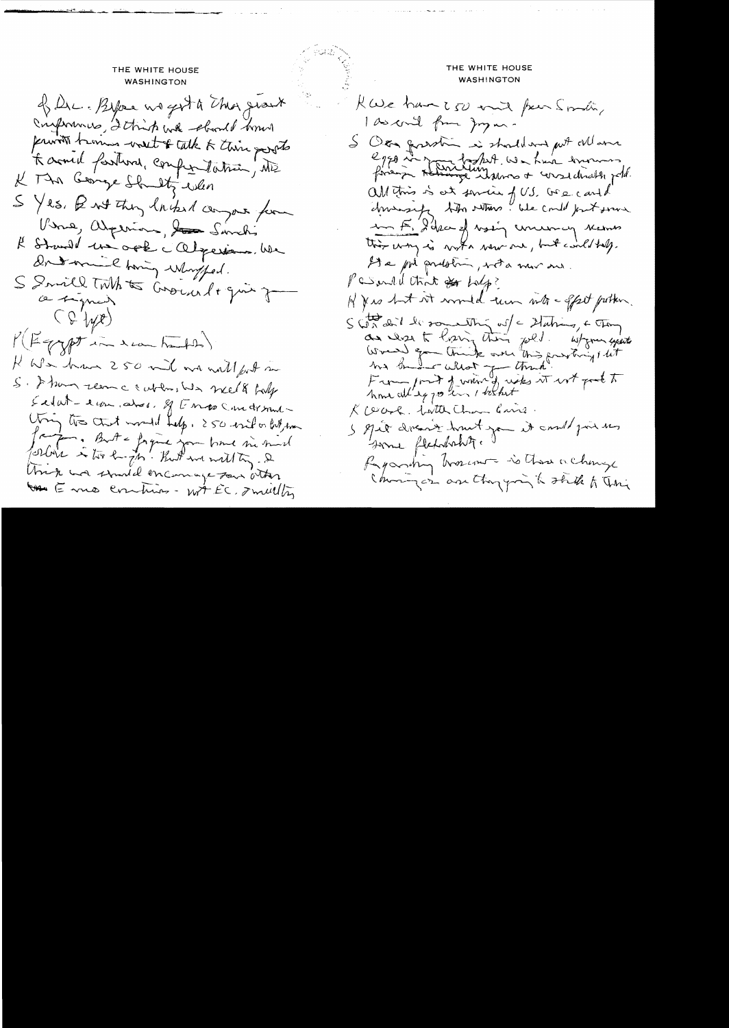THE WHITE HOUSE **WASHINGTON** of Dec. Byter we get a the growt Conforming, I think with should have provision trains went of talk to their parots Kaomil fartures, competitation, ME K Min George Shutti when S Yes, But they lacked compare form Verne, appenion, to Sanchi Il Straud un ord calgaine, we Dondonnel howing whompfed. S Smill TMA to Cround + give form a signer  $(447)$ P(Fgypt in the handle) K We have 250 mil over well fort me S. I have reason a cubility was meet to body Sedat-europe dos, q Engo Condition Uning the chart would help, 250 esto bit me Japan. But a faque you have sie sud forbir & too hangth' Kutt we will to 2 Unck and stand encourage Tour other the E me combines - wit EC, I multing

THE WHITE HOUSE **WASHINGTON** KWe have  $250$  and four smally I as could from Joyun-S Over grassin is should not get Man eggo in martin todat. We have transment all this is at service of US. Ge cand driving the whose like could just some an E. Hika of vasing concerning names this way is work were one, but could help. He por prelotion, with mor and. Pessual that of holp? H & is but it would turn into - offset potter.  $S\left(\int_{0}^{+\infty}dx^{2}dx^{2}dx$  somewhy  $\omega'=-2\int d\mu dx$ ,  $\in$  Tay as we to having their pold. Wyom youth<br>World go think over this provincial lit From fort of which we wis it not good to R cearl. Latter Chan Cans. I great divent hunt you it could just the Some fletchship. 1 Ryandry broccours is those a change Changer are thought to the to This